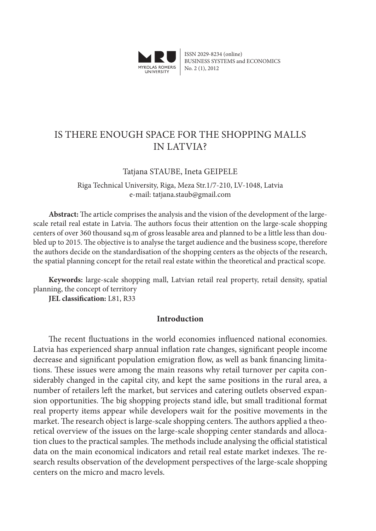

ISSN 2029-8234 (online) BUSINESS SYSTEMS and ECONOMICS No. 2 (1), 2012

# is there enough space for the shopping malls in latvia?

## Tatjana STAUBE, Ineta GEIPELE

Riga Technical University, Riga, Meza Str.1/7-210, LV-1048, Latvia e-mail: tatjana.staub@gmail.com

**Abstract:** The article comprises the analysis and the vision of the development of the largescale retail real estate in Latvia. The authors focus their attention on the large-scale shopping centers of over 360 thousand sq.m of gross leasable area and planned to be a little less than doubled up to 2015. The objective is to analyse the target audience and the business scope, therefore the authors decide on the standardisation of the shopping centers as the objects of the research, the spatial planning concept for the retail real estate within the theoretical and practical scope.

**Keywords:** large-scale shopping mall, Latvian retail real property, retail density, spatial planning, the concept of territory

**JEL classification:** L81, R33

### **Introduction**

The recent fluctuations in the world economies influenced national economies. Latvia has experienced sharp annual inflation rate changes, significant people income decrease and significant population emigration flow, as well as bank financing limitations. These issues were among the main reasons why retail turnover per capita considerably changed in the capital city, and kept the same positions in the rural area, a number of retailers left the market, but services and catering outlets observed expansion opportunities. The big shopping projects stand idle, but small traditional format real property items appear while developers wait for the positive movements in the market. The research object is large-scale shopping centers. The authors applied a theoretical overview of the issues on the large-scale shopping center standards and allocation clues to the practical samples. The methods include analysing the official statistical data on the main economical indicators and retail real estate market indexes. The research results observation of the development perspectives of the large-scale shopping centers on the micro and macro levels.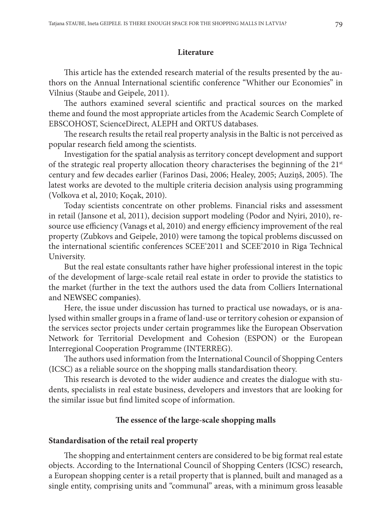### **Literature**

This article has the extended research material of the results presented by the authors on the Annual International scientific conference "Whither our Economies" in Vilnius (Staube and Geipele, 2011).

The authors examined several scientific and practical sources on the marked theme and found the most appropriate articles from the Academic Search Complete of EBSCOHOST, ScienceDirect, ALEPH and ORTUS databases.

The research results the retail real property analysis in the Baltic is not perceived as popular research field among the scientists.

Investigation for the spatial analysis as territory concept development and support of the strategic real property allocation theory characterises the beginning of the  $21<sup>st</sup>$ century and few decades earlier (Farinos Dasi, 2006; Healey, 2005; Auziņš, 2005). The latest works are devoted to the multiple criteria decision analysis using programming (Volkova et al, 2010; Koçak, 2010).

Today scientists concentrate on other problems. Financial risks and assessment in retail (Jansone et al, 2011), decision support modeling (Podor and Nyiri, 2010), resource use efficiency (Vanags et al, 2010) and energy efficiency improvement of the real property (Zubkovs and Geipele, 2010) were tamong the topical problems discussed on the international scientific conferences SCEE'2011 and SCEE'2010 in Riga Technical University.

But the real estate consultants rather have higher professional interest in the topic of the development of large-scale retail real estate in order to provide the statistics to the market (further in the text the authors used the data from Colliers International and NEWSEC companies).

Here, the issue under discussion has turned to practical use nowadays, or is analysed within smaller groups in a frame of land-use or territory cohesion or expansion of the services sector projects under certain programmes like the European Observation Network for Territorial Development and Cohesion (ESPON) or the European Interregional Cooperation Programme (INTERREG).

The authors used information from the International Council of Shopping Centers (ICSC) as a reliable source on the shopping malls standardisation theory.

This research is devoted to the wider audience and creates the dialogue with students, specialists in real estate business, developers and investors that are looking for the similar issue but find limited scope of information.

### **The essence of the large-scale shopping malls**

#### **Standardisation of the retail real property**

The shopping and entertainment centers are considered to be big format real estate objects. According to the International Council of Shopping Centers (ICSC) research, a European shopping center is a retail property that is planned, built and managed as a single entity, comprising units and "communal" areas, with a minimum gross leasable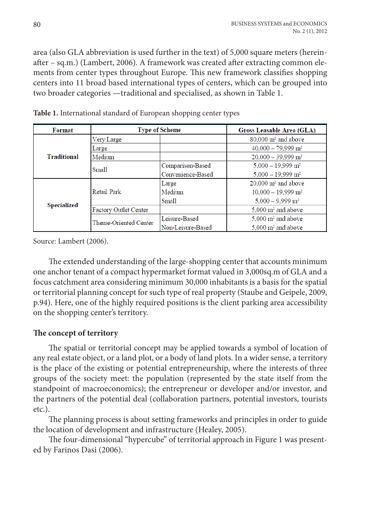area (also GLA abbreviation is used further in the text) of 5,000 square meters (hereinafter – sq.m.) (Lambert, 2006). A framework was created after extracting common elements from center types throughout Europe. This new framework classifies shopping centers into 11 broad based international types of centers, which can be grouped into two broader categories —traditional and specialised, as shown in Table 1.

| <b>Format</b>      | <b>Type of Scheme</b>        |                   | <b>Gross Leasable Area (GLA)</b>  |  |  |
|--------------------|------------------------------|-------------------|-----------------------------------|--|--|
| <b>Traditional</b> | Very Large                   |                   | $80.000$ m <sup>2</sup> and above |  |  |
|                    | Large                        |                   | $40.000 - 79.999$ m <sup>2</sup>  |  |  |
|                    | Medium                       |                   | $20,000 - 39,999$ m <sup>2</sup>  |  |  |
|                    | <b>Small</b>                 | Comparison-Based  | $5.000 - 19.999$ m <sup>2</sup>   |  |  |
|                    |                              | Convenience-Based | $5.000 - 19.999$ m <sup>2</sup>   |  |  |
| Specialized        | <b>Retail Park</b>           | Large             | $20.000$ m <sup>2</sup> and above |  |  |
|                    |                              | Medium            | $10,000 - 19,999$ m <sup>2</sup>  |  |  |
|                    |                              | Small             | $5.000 - 9.999$ m <sup>2</sup>    |  |  |
|                    | <b>Factory Outlet Center</b> |                   | $5.000 \text{ m}^2$ and above     |  |  |
|                    | Theme-Oriented Center        | Leisure-Based     | $5.000 \text{ m}^2$ and above     |  |  |
|                    |                              | Non-Leisure-Based | $5.000 \text{ m}^2$ and above     |  |  |

**Table 1.** International standard of European shopping center types

Source: Lambert (2006).

The extended understanding of the large-shopping center that accounts minimum one anchor tenant of a compact hypermarket format valued in 3,000sq.m of GLA and a focus catchment area considering minimum 30,000 inhabitants is a basis for the spatial or territorial planning concept for such type of real property (Staube and Geipele, 2009, p.94). Here, one of the highly required positions is the client parking area accessibility on the shopping center's territory.

## **The concept of territory**

The spatial or territorial concept may be applied towards a symbol of location of any real estate object, or a land plot, or a body of land plots. In a wider sense, a territory is the place of the existing or potential entrepreneurship, where the interests of three groups of the society meet: the population (represented by the state itself from the standpoint of macroeconomics); the entrepreneur or developer and/or investor, and the partners of the potential deal (collaboration partners, potential investors, tourists etc.).

The planning process is about setting frameworks and principles in order to guide the location of development and infrastructure (Healey, 2005).

The four-dimensional "hypercube" of territorial approach in Figure 1 was presented by Farinos Dasi (2006).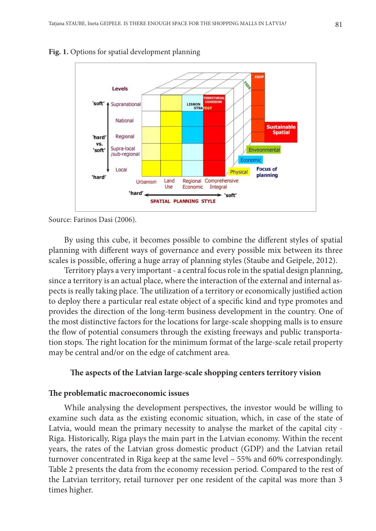



Source: Farinos Dasi (2006).

By using this cube, it becomes possible to combine the different styles of spatial planning with different ways of governance and every possible mix between its three scales is possible, offering a huge array of planning styles (Staube and Geipele, 2012).

Territory plays a very important - a central focus role in the spatial design planning, since a territory is an actual place, where the interaction of the external and internal aspects is really taking place. The utilization of a territory or economically justified action to deploy there a particular real estate object of a specific kind and type promotes and provides the direction of the long-term business development in the country. One of the most distinctive factors for the locations for large-scale shopping malls is to ensure the flow of potential consumers through the existing freeways and public transportation stops. The right location for the minimum format of the large-scale retail property may be central and/or on the edge of catchment area.

### **The aspects of the Latvian large-scale shopping centers territory vision**

#### **The problematic macroeconomic issues**

While analysing the development perspectives, the investor would be willing to examine such data as the existing economic situation, which, in case of the state of Latvia, would mean the primary necessity to analyse the market of the capital city - Riga. Historically, Riga plays the main part in the Latvian economy. Within the recent years, the rates of the Latvian gross domestic product (GDP) and the Latvian retail turnover concentrated in Riga keep at the same level – 55% and 60% correspondingly. Table 2 presents the data from the economy recession period. Compared to the rest of the Latvian territory, retail turnover per one resident of the capital was more than 3 times higher.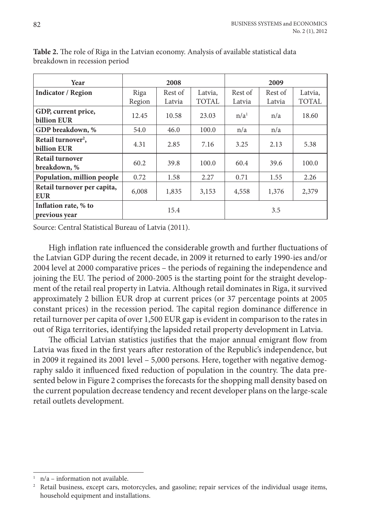| Year                                          |        | 2008    |              | 2009             |         |              |
|-----------------------------------------------|--------|---------|--------------|------------------|---------|--------------|
| <b>Indicator / Region</b>                     | Riga   | Rest of | Latvia,      | Rest of          | Rest of | Latvia,      |
|                                               | Region | Latvia  | <b>TOTAL</b> | Latvia           | Latvia  | <b>TOTAL</b> |
| GDP, current price,<br>billion EUR            | 12.45  | 10.58   | 23.03        | n/a <sup>1</sup> | n/a     | 18.60        |
| GDP breakdown, %                              | 54.0   | 46.0    | 100.0        | n/a              | n/a     |              |
| Retail turnover <sup>2</sup> ,<br>billion EUR | 4.31   | 2.85    | 7.16         | 3.25             | 2.13    | 5.38         |
| Retail turnover<br>breakdown, %               | 60.2   | 39.8    | 100.0        | 60.4             | 39.6    | 100.0        |
| Population, million people                    | 0.72   | 1.58    | 2.27         | 0.71             | 1.55    | 2.26         |
| Retail turnover per capita,<br><b>EUR</b>     | 6,008  | 1,835   | 3,153        | 4,558            | 1,376   | 2,379        |
| Inflation rate, % to<br>previous year         |        | 15.4    |              |                  | 3.5     |              |

**Table 2.** The role of Riga in the Latvian economy. Analysis of available statistical data breakdown in recession period

Source: Central Statistical Bureau of Latvia (2011).

High inflation rate influenced the considerable growth and further fluctuations of the Latvian GDP during the recent decade, in 2009 it returned to early 1990-ies and/or 2004 level at 2000 comparative prices – the periods of regaining the independence and joining the EU. The period of 2000-2005 is the starting point for the straight development of the retail real property in Latvia. Although retail dominates in Riga, it survived approximately 2 billion EUR drop at current prices (or 37 percentage points at 2005 constant prices) in the recession period. The capital region dominance difference in retail turnover per capita of over 1,500 EUR gap is evident in comparison to the rates in out of Riga territories, identifying the lapsided retail property development in Latvia.

The official Latvian statistics justifies that the major annual emigrant flow from Latvia was fixed in the first years after restoration of the Republic's independence, but in 2009 it regained its 2001 level – 5,000 persons. Here, together with negative demography saldo it influenced fixed reduction of population in the country. The data presented below in Figure 2 comprises the forecasts for the shopping mall density based on the current population decrease tendency and recent developer plans on the large-scale retail outlets development.

 $n/a$  – information not available.

<sup>2</sup> Retail business, except cars, motorcycles, and gasoline; repair services of the individual usage items, household equipment and installations.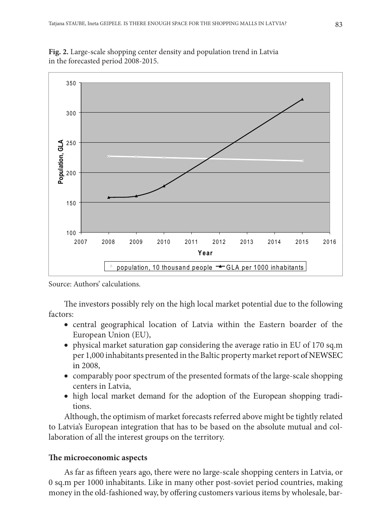

**Fig. 2.** Large-scale shopping center density and population trend in Latvia in the forecasted period 2008-2015.

Source: Authors' calculations.

The investors possibly rely on the high local market potential due to the following factors:

- central geographical location of Latvia within the Eastern boarder of the European Union (EU),
- physical market saturation gap considering the average ratio in EU of 170 sq.m per 1,000 inhabitants presented in the Baltic property market report of NEWSEC in 2008,
- comparably poor spectrum of the presented formats of the large-scale shopping centers in Latvia,
- high local market demand for the adoption of the European shopping traditions.

Although, the optimism of market forecasts referred above might be tightly related to Latvia's European integration that has to be based on the absolute mutual and collaboration of all the interest groups on the territory.

### **The microeconomic aspects**

As far as fifteen years ago, there were no large-scale shopping centers in Latvia, or 0 sq.m per 1000 inhabitants. Like in many other post-soviet period countries, making money in the old-fashioned way, by offering customers various items by wholesale, bar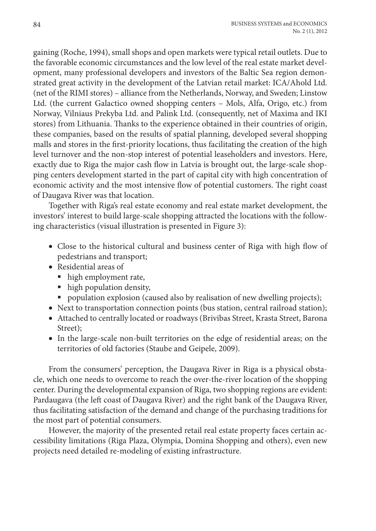gaining (Roche, 1994), small shops and open markets were typical retail outlets. Due to the favorable economic circumstances and the low level of the real estate market development, many professional developers and investors of the Baltic Sea region demonstrated great activity in the development of the Latvian retail market: ICA/Ahold Ltd. (net of the RIMI stores) – alliance from the Netherlands, Norway, and Sweden; Linstow Ltd. (the current Galactico owned shopping centers – Mols, Alfa, Origo, etc.) from Norway, Vilniaus Prekyba Ltd. and Palink Ltd. (consequently, net of Maxima and IKI stores) from Lithuania. Thanks to the experience obtained in their countries of origin, these companies, based on the results of spatial planning, developed several shopping malls and stores in the first-priority locations, thus facilitating the creation of the high level turnover and the non-stop interest of potential leaseholders and investors. Here, exactly due to Riga the major cash flow in Latvia is brought out, the large-scale shopping centers development started in the part of capital city with high concentration of economic activity and the most intensive flow of potential customers. The right coast of Daugava River was that location.

Together with Riga's real estate economy and real estate market development, the investors' interest to build large-scale shopping attracted the locations with the following characteristics (visual illustration is presented in Figure 3):

- Close to the historical cultural and business center of Riga with high flow of pedestrians and transport;
- • Residential areas of
	- high employment rate,
	- $\blacksquare$  high population density,
	- population explosion (caused also by realisation of new dwelling projects);
- Next to transportation connection points (bus station, central railroad station);
- Attached to centrally located or roadways (Brivibas Street, Krasta Street, Barona Street);
- In the large-scale non-built territories on the edge of residential areas; on the territories of old factories (Staube and Geipele, 2009).

From the consumers' perception, the Daugava River in Riga is a physical obstacle, which one needs to overcome to reach the over-the-river location of the shopping center. During the developmental expansion of Riga, two shopping regions are evident: Pardaugava (the left coast of Daugava River) and the right bank of the Daugava River, thus facilitating satisfaction of the demand and change of the purchasing traditions for the most part of potential consumers.

However, the majority of the presented retail real estate property faces certain accessibility limitations (Riga Plaza, Olympia, Domina Shopping and others), even new projects need detailed re-modeling of existing infrastructure.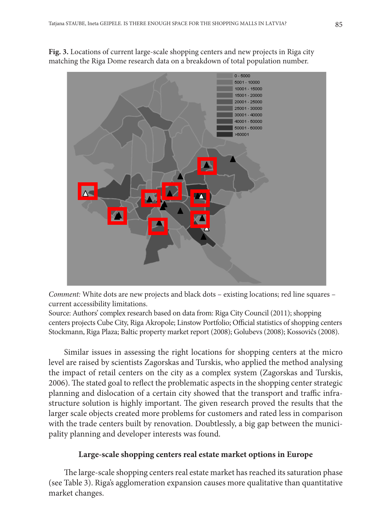

**Fig. 3.** Locations of current large-scale shopping centers and new projects in Riga city matching the Riga Dome research data on a breakdown of total population number.

 *Comment:* White dots are new projects and black dots – existing locations; red line squares – current accessibility limitations.

 Source: Authors' complex research based on data from: Riga City Council (2011); shopping centers projects Cube City, Riga Akropole; Linstow Portfolio; Official statistics of shopping centers Stockmann, Riga Plaza; Baltic property market report (2008); Golubevs (2008); Kossovičs (2008).

Similar issues in assessing the right locations for shopping centers at the micro level are raised by scientists Zagorskas and Turskis, who applied the method analysing the impact of retail centers on the city as a complex system (Zagorskas and Turskis, 2006). The stated goal to reflect the problematic aspects in the shopping center strategic planning and dislocation of a certain city showed that the transport and traffic infrastructure solution is highly important. The given research proved the results that the larger scale objects created more problems for customers and rated less in comparison with the trade centers built by renovation. Doubtlessly, a big gap between the municipality planning and developer interests was found.

## **Large-scale shopping centers real estate market options in Europe**

The large-scale shopping centers real estate market has reached its saturation phase (see Table 3). Riga's agglomeration expansion causes more qualitative than quantitative market changes.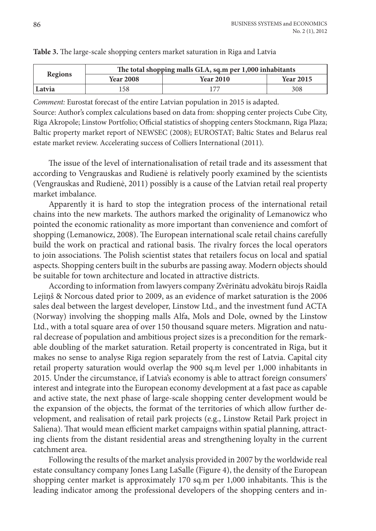| Regions | The total shopping malls GLA, sq.m per 1,000 inhabitants |                  |                  |  |  |
|---------|----------------------------------------------------------|------------------|------------------|--|--|
|         | <b>Year 2008</b>                                         | <b>Year 2010</b> | <b>Year 2015</b> |  |  |
| Latvia  | 58                                                       | 177              | 308              |  |  |

#### **Table 3.** The large-scale shopping centers market saturation in Riga and Latvia

*Comment:* Eurostat forecast of the entire Latvian population in 2015 is adapted. Source: Author's complex calculations based on data from: shopping center projects Cube City, Riga Akropole; Linstow Portfolio; Official statistics of shopping centers Stockmann, Riga Plaza; Baltic property market report of NEWSEC (2008); EUROSTAT; Baltic States and Belarus real estate market review. Accelerating success of Colliers International (2011).

The issue of the level of internationalisation of retail trade and its assessment that according to Vengrauskas and Rudienė is relatively poorly examined by the scientists (Vengrauskas and Rudienė, 2011) possibly is a cause of the Latvian retail real property market imbalance.

Apparently it is hard to stop the integration process of the international retail chains into the new markets. The authors marked the originality of Lemanowicz who pointed the economic rationality as more important than convenience and comfort of shopping (Lemanowicz, 2008). The European international scale retail chains carefully build the work on practical and rational basis. The rivalry forces the local operators to join associations. The Polish scientist states that retailers focus on local and spatial aspects. Shopping centers built in the suburbs are passing away. Modern objects should be suitable for town architecture and located in attractive districts.

According to information from lawyers company Zvērinātu advokātu birojs Raidla Lejiņš & Norcous dated prior to 2009, as an evidence of market saturation is the 2006 sales deal between the largest developer, Linstow Ltd., and the investment fund ACTA (Norway) involving the shopping malls Alfa, Mols and Dole, owned by the Linstow Ltd., with a total square area of over 150 thousand square meters. Migration and natural decrease of population and ambitious project sizes is a precondition for the remarkable doubling of the market saturation. Retail property is concentrated in Riga, but it makes no sense to analyse Riga region separately from the rest of Latvia. Capital city retail property saturation would overlap the 900 sq.m level per 1,000 inhabitants in 2015. Under the circumstance, if Latvia's economy is able to attract foreign consumers' interest and integrate into the European economy development at a fast pace as capable and active state, the next phase of large-scale shopping center development would be the expansion of the objects, the format of the territories of which allow further development, and realisation of retail park projects (e.g., Linstow Retail Park project in Saliena). That would mean efficient market campaigns within spatial planning, attracting clients from the distant residential areas and strengthening loyalty in the current catchment area.

Following the results of the market analysis provided in 2007 by the worldwide real estate consultancy company Jones Lang LaSalle (Figure 4), the density of the European shopping center market is approximately 170 sq.m per 1,000 inhabitants. This is the leading indicator among the professional developers of the shopping centers and in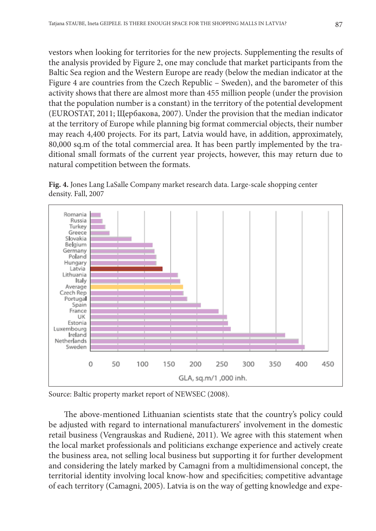vestors when looking for territories for the new projects. Supplementing the results of the analysis provided by Figure 2, one may conclude that market participants from the Baltic Sea region and the Western Europe are ready (below the median indicator at the Figure 4 are countries from the Czech Republic – Sweden), and the barometer of this activity shows that there are almost more than 455 million people (under the provision that the population number is a constant) in the territory of the potential development (EUROSTAT, 2011; Щербакова, 2007). Under the provision that the median indicator at the territory of Europe while planning big format commercial objects, their number may reach 4,400 projects. For its part, Latvia would have, in addition, approximately, 80,000 sq.m of the total commercial area. It has been partly implemented by the traditional small formats of the current year projects, however, this may return due to natural competition between the formats.





Source: Baltic property market report of NEWSEC (2008).

The above-mentioned Lithuanian scientists state that the country's policy could be adjusted with regard to international manufacturers' involvement in the domestic retail business (Vengrauskas and Rudienė, 2011). We agree with this statement when the local market professionals and politicians exchange experience and actively create the business area, not selling local business but supporting it for further development and considering the lately marked by Camagni from a multidimensional concept, the territorial identity involving local know-how and specificities; competitive advantage of each territory (Camagni, 2005). Latvia is on the way of getting knowledge and expe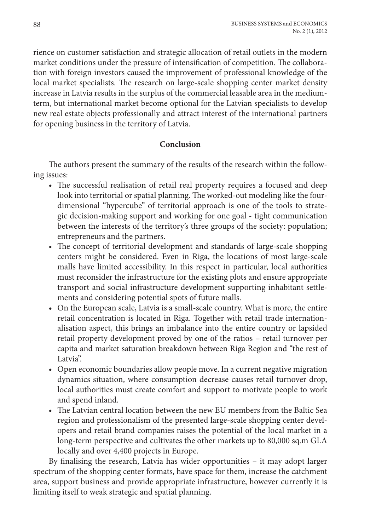rience on customer satisfaction and strategic allocation of retail outlets in the modern market conditions under the pressure of intensification of competition. The collaboration with foreign investors caused the improvement of professional knowledge of the local market specialists. The research on large-scale shopping center market density increase in Latvia results in the surplus of the commercial leasable area in the mediumterm, but international market become optional for the Latvian specialists to develop new real estate objects professionally and attract interest of the international partners for opening business in the territory of Latvia.

## **Conclusion**

The authors present the summary of the results of the research within the following issues:

- The successful realisation of retail real property requires a focused and deep look into territorial or spatial planning. The worked-out modeling like the fourdimensional "hypercube" of territorial approach is one of the tools to strategic decision-making support and working for one goal - tight communication between the interests of the territory's three groups of the society: population; entrepreneurs and the partners.
- The concept of territorial development and standards of large-scale shopping centers might be considered. Even in Riga, the locations of most large-scale malls have limited accessibility. In this respect in particular, local authorities must reconsider the infrastructure for the existing plots and ensure appropriate transport and social infrastructure development supporting inhabitant settlements and considering potential spots of future malls.
- On the European scale, Latvia is a small-scale country. What is more, the entire retail concentration is located in Riga. Together with retail trade internationalisation aspect, this brings an imbalance into the entire country or lapsided retail property development proved by one of the ratios – retail turnover per capita and market saturation breakdown between Riga Region and "the rest of Latvia".
- Open economic boundaries allow people move. In a current negative migration dynamics situation, where consumption decrease causes retail turnover drop, local authorities must create comfort and support to motivate people to work and spend inland.
- The Latvian central location between the new EU members from the Baltic Sea region and professionalism of the presented large-scale shopping center developers and retail brand companies raises the potential of the local market in a long-term perspective and cultivates the other markets up to 80,000 sq.m GLA locally and over 4,400 projects in Europe.

By finalising the research, Latvia has wider opportunities – it may adopt larger spectrum of the shopping center formats, have space for them, increase the catchment area, support business and provide appropriate infrastructure, however currently it is limiting itself to weak strategic and spatial planning.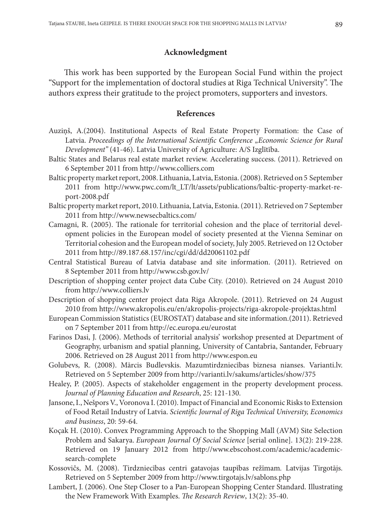## **Acknowledgment**

This work has been supported by the European Social Fund within the project "Support for the implementation of doctoral studies at Riga Technical University". The authors express their gratitude to the project promoters, supporters and investors.

#### **References**

- Auziņš, A.(2004). Institutional Aspects of Real Estate Property Formation: the Case of Latvia. *Proceedings of the International Scientific Conference "Economic Science for Rural Development"* (41-46). Latvia University of Agriculture: A/S Izglītība.
- Baltic States and Belarus real estate market review. Accelerating success. (2011). Retrieved on 6 September 2011 from http://www.colliers.com
- Baltic property market report, 2008. Lithuania, Latvia, Estonia. (2008). Retrieved on 5 September 2011 from http://www.pwc.com/lt\_LT/lt/assets/publications/baltic-property-market-report-2008.pdf
- Baltic property market report, 2010. Lithuania, Latvia, Estonia. (2011). Retrieved on 7 September 2011 from http://www.newsecbaltics.com/
- Camagni, R. (2005). The rationale for territorial cohesion and the place of territorial development policies in the European model of society presented at the Vienna Seminar on Territorial cohesion and the European model of society, July 2005. Retrieved on 12 October 2011 from http://89.187.68.157/inc/cgi/dd/dd20061102.pdf
- Central Statistical Bureau of Latvia database and site information. (2011). Retrieved on 8 September 2011 from http://www.csb.gov.lv/
- Description of shopping center project data Cube City. (2010). Retrieved on 24 August 2010 from http://www.colliers.lv
- Description of shopping center project data Riga Akropole. (2011). Retrieved on 24 August 2010 from http://www.akropolis.eu/en/akropolis-projects/riga-akropole-projektas.html
- European Commission Statistics (EUROSTAT) database and site information.(2011). Retrieved on 7 September 2011 from http://ec.europa.eu/eurostat
- Farinos Dasi, J. (2006). Methods of territorial analysis' workshop presented at Department of Geography, urbanism and spatial planning, University of Cantabria, Santander, February 2006. Retrieved on 28 August 2011 from http://www.espon.eu
- Golubevs, R. (2008). Mārcis Budlevskis. Mazumtirdzniecības biznesa nianses. Varianti.lv. Retrieved on 5 September 2009 from http://varianti.lv/sakums/articles/show/375
- Healey, P. (2005). Aspects of stakeholder engagement in the property development process. *Journal of Planning Education and Research*, 25: 121-130.
- Jansone, I., Nešpors V., Voronova I. (2010). Impact of Financial and Economic Risks to Extension of Food Retail Industry of Latvia. *Scientific Journal of Riga Technical University, Economics and business*, 20: 59-64.
- Koçak H. (2010). Convex Programming Approach to the Shopping Mall (AVM) Site Selection Problem and Sakarya. *European Journal Of Social Science* [serial online]. 13(2): 219-228. Retrieved on 19 January 2012 from http://www.ebscohost.com/academic/academicsearch-complete
- Kossovičs, M. (2008). Tirdzniecības centri gatavojas taupības režīmam*.* Latvijas Tirgotājs. Retrieved on 5 September 2009 from http://www.tirgotajs.lv/sablons.php
- Lambert, J. (2006). One Step Closer to a Pan-European Shopping Center Standard. Illustrating the New Framework With Examples. *The Research Review*, 13(2): 35-40.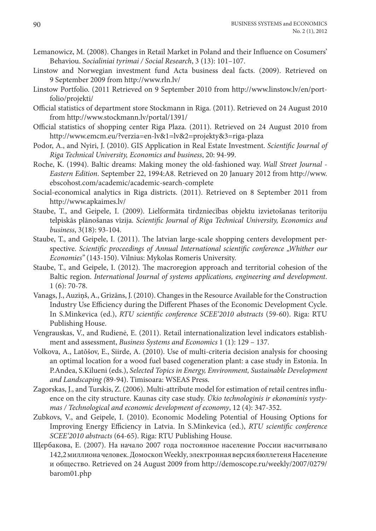- Lemanowicz, M. (2008). Changes in Retail Market in Poland and their Influence on Cosumers' Behaviou. *Socialiniai tyrimai / Social Research*, 3 (13): 101–107.
- Linstow and Norwegian investment fund Acta business deal facts. (2009). Retrieved on 9 September 2009 from http://www.rln.lv/
- Linstow Portfolio. (2011 Retrieved on 9 September 2010 from http://www.linstow.lv/en/portfolio/projekti/
- Official statistics of department store Stockmann in Riga. (2011). Retrieved on 24 August 2010 from http://www.stockmann.lv/portal/1391/
- Official statistics of shopping center Riga Plaza. (2011). Retrieved on 24 August 2010 from http://www.emcm.eu/?verzia=en-lv&1=lv&2=projekty&3=riga-plaza
- Podor, A., and Nyiri, J. (2010). GIS Application in Real Estate Investment. *Scientific Journal of Riga Technical University, Economics and business*, 20: 94-99.
- Roche, K. (1994). Baltic dreams: Making money the old-fashioned way. *Wall Street Journal Eastern Edition*. September 22, 1994:A8. Retrieved on 20 January 2012 from http://www. ebscohost.com/academic/academic-search-complete
- Social-economical analytics in Riga districts. (2011). Retrieved on 8 September 2011 from http://www.apkaimes.lv/
- Staube, T., and Geipele, I. (2009). Lielformāta tirdzniecības objektu izvietošanas teritoriju telpiskās plānošanas vīzija. *Scientific Journal of Riga Technical University, Economics and business*, 3(18): 93-104.
- Staube, T., and Geipele, I. (2011). The latvian large-scale shopping centers development perspective. *Scientific proceedings of Annual International scientific conference "Whither our Economies"* (143-150). Vilnius: Mykolas Romeris University.
- Staube, T., and Geipele, I. (2012). The macroregion approach and territorial cohesion of the Baltic region. *International Journal of systems applications, engineering and development*. 1 (6): 70-78.
- Vanags, J., Auziņš, A., Grizāns, J. (2010). Changes in the Resource Available for the Construction Industry Use Efficiency during the Different Phases of the Economic Development Cycle. In S.Minkevica (ed.), *RTU scientific conference SCEE'2010 abstracts* (59-60). Riga: RTU Publishing House.
- Vengrauskas, V., and Rudienė, E. (2011). Retail internationalization level indicators establishment and assessment, *Business Systems and Economics* 1 (1): 129 – 137.
- Volkova, A., Latõšov, E., Siirde, A. (2010). Use of multi-criteria decision analysis for choosing an optimal location for a wood fuel based cogeneration plant: a case study in Estonia. In P.Andea, S.Kilueni (eds.), *Selected Topics in Energy, Environment, Sustainable Development and Landscaping (*89-94). Timisoara: WSEAS Press.
- Zagorskas, J., and Turskis, Z. (2006). Multi-attribute model for estimation of retail centres influence on the city structure. Kaunas city case study. *Ūkio technologinis ir ekonominis vystymas / Technological and economic development of economy*, 12 (4): 347-352.
- Zubkovs, V., and Geipele, I. (2010). Economic Modeling Potential of Housing Options for Improving Energy Efficiency in Latvia. In S.Minkevica (ed.), *RTU scientific conference SCEE'2010 abstracts* (64-65). Riga: RTU Publishing House.
- Щербакова, E. (2007). На начало 2007 года постоянное население России насчитывало 142,2 миллиона человек. Домоскоп Weekly*,* электронная версия бюллетеняНаселение и общество. Retrieved on 24 August 2009 from http://demoscope.ru/weekly/2007/0279/ barom01.php